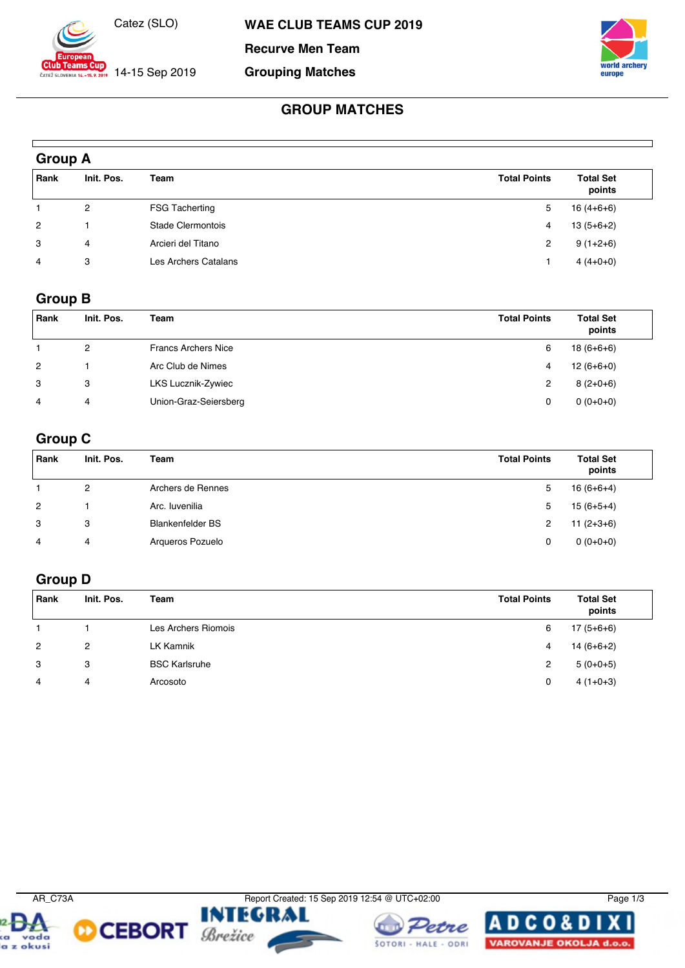

 $-15.2019$  14-15 Sep 2019

**Recurve Men Team**

#### **Grouping Matches**



### **GROUP MATCHES**

| <b>Group A</b> |            |                       |                     |                            |  |
|----------------|------------|-----------------------|---------------------|----------------------------|--|
| Rank           | Init. Pos. | Team                  | <b>Total Points</b> | <b>Total Set</b><br>points |  |
|                | 2          | <b>FSG Tacherting</b> | 5                   | $16(4+6+6)$                |  |
| $\overline{2}$ |            | Stade Clermontois     | 4                   | $13(5+6+2)$                |  |
| 3              | 4          | Arcieri del Titano    | $\overline{2}$      | $9(1+2+6)$                 |  |
| 4              | 3          | Les Archers Catalans  |                     | $4(4+0+0)$                 |  |

#### **Group B**

 $\Gamma$ 

| Rank           | Init. Pos. | Team                       | <b>Total Points</b> | <b>Total Set</b><br>points |
|----------------|------------|----------------------------|---------------------|----------------------------|
|                | 2          | <b>Francs Archers Nice</b> | 6                   | $18(6+6+6)$                |
| $\overline{2}$ |            | Arc Club de Nimes          | 4                   | $12(6+6+0)$                |
| 3              | 3          | LKS Lucznik-Zywiec         | 2                   | $8(2+0+6)$                 |
| 4              | 4          | Union-Graz-Seiersberg      | 0                   | $0(0+0+0)$                 |

#### **Group C**

| Rank           | Init. Pos. | Team                    | <b>Total Points</b> | <b>Total Set</b><br>points |
|----------------|------------|-------------------------|---------------------|----------------------------|
|                | 2          | Archers de Rennes       | 5                   | $16(6+6+4)$                |
| $\overline{2}$ |            | Arc. Iuvenilia          | 5                   | $15(6+5+4)$                |
| 3              | 3          | <b>Blankenfelder BS</b> | 2                   | $11(2+3+6)$                |
| 4              | 4          | Arqueros Pozuelo        | 0                   | $0(0+0+0)$                 |

# **Group D**

| Rank           | Init. Pos. | Team                 | <b>Total Points</b> | <b>Total Set</b><br>points |
|----------------|------------|----------------------|---------------------|----------------------------|
|                |            | Les Archers Riomois  | 6                   | $17(5+6+6)$                |
| $\overline{2}$ | 2          | LK Kamnik            | 4                   | 14 (6+6+2)                 |
| 3              | 3          | <b>BSC Karlsruhe</b> | 2                   | $5(0+0+5)$                 |
| 4              | 4          | Arcosoto             | 0                   | $4(1+0+3)$                 |



**CEBORT** *Brežice* 



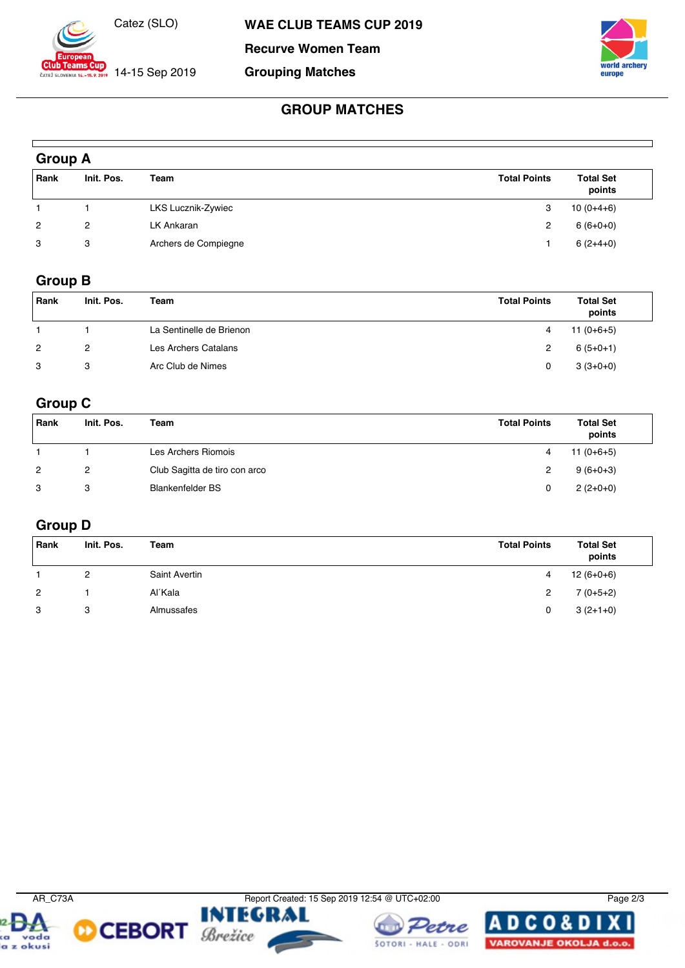

 $-15.2019$  14-15 Sep 2019

**Recurve Women Team**

**Grouping Matches**



### **GROUP MATCHES**

| <b>Group A</b> |            |                      |                     |                            |  |  |
|----------------|------------|----------------------|---------------------|----------------------------|--|--|
| Rank           | Init. Pos. | Team                 | <b>Total Points</b> | <b>Total Set</b><br>points |  |  |
|                |            | LKS Lucznik-Zywiec   | 3                   | $10(0+4+6)$                |  |  |
| $\overline{2}$ | 2          | LK Ankaran           | 2                   | $6(6+0+0)$                 |  |  |
| 3              | 3          | Archers de Compiegne |                     | $6(2+4+0)$                 |  |  |

#### **Group B**

| Rank | Init. Pos. | Team                     | <b>Total Points</b> | <b>Total Set</b><br>points |
|------|------------|--------------------------|---------------------|----------------------------|
|      |            | La Sentinelle de Brienon | 4                   | $11(0+6+5)$                |
| 2    | 2          | Les Archers Catalans     |                     | $6(5+0+1)$                 |
| 3    | 3          | Arc Club de Nimes        |                     | $3(3+0+0)$                 |

# **Group C**

| Rank | Init. Pos. | Team                          | <b>Total Points</b> | <b>Total Set</b><br>points |
|------|------------|-------------------------------|---------------------|----------------------------|
|      |            | Les Archers Riomois           |                     | $11(0+6+5)$                |
| 2    | 2          | Club Sagitta de tiro con arco |                     | $9(6+0+3)$                 |
| 3    | 3          | <b>Blankenfelder BS</b>       |                     | $2(2+0+0)$                 |

### **Group D**

| Rank           | Init. Pos. | Team          | <b>Total Points</b> | <b>Total Set</b><br>points |
|----------------|------------|---------------|---------------------|----------------------------|
|                | 2          | Saint Avertin | 4                   | $12(6+0+6)$                |
| $\overline{2}$ |            | Al'Kala       | 2                   | $7(0+5+2)$                 |
| 3              | 3          | Almussafes    | 0                   | $3(2+1+0)$                 |



**CEBORT** Brežice

AR\_C73A Report Created: 15 Sep 2019 12:54 @ UTC+02:00 **INTEGRAL**